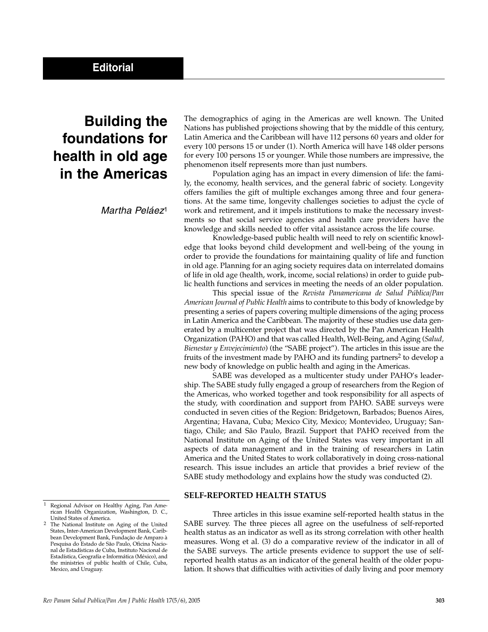# **Building the foundations for health in old age in the Americas**

Martha Peláez<sup>1</sup>

The demographics of aging in the Americas are well known. The United Nations has published projections showing that by the middle of this century, Latin America and the Caribbean will have 112 persons 60 years and older for every 100 persons 15 or under (1). North America will have 148 older persons for every 100 persons 15 or younger. While those numbers are impressive, the phenomenon itself represents more than just numbers.

Population aging has an impact in every dimension of life: the family, the economy, health services, and the general fabric of society. Longevity offers families the gift of multiple exchanges among three and four generations. At the same time, longevity challenges societies to adjust the cycle of work and retirement, and it impels institutions to make the necessary investments so that social service agencies and health care providers have the knowledge and skills needed to offer vital assistance across the life course.

Knowledge-based public health will need to rely on scientific knowledge that looks beyond child development and well-being of the young in order to provide the foundations for maintaining quality of life and function in old age. Planning for an aging society requires data on interrelated domains of life in old age (health, work, income, social relations) in order to guide public health functions and services in meeting the needs of an older population.

This special issue of the *Revista Panamericana de Salud Pública/Pan American Journal of Public Health* aims to contribute to this body of knowledge by presenting a series of papers covering multiple dimensions of the aging process in Latin America and the Caribbean. The majority of these studies use data generated by a multicenter project that was directed by the Pan American Health Organization (PAHO) and that was called Health, Well-Being, and Aging (*Salud, Bienestar y Envejecimiento*) (the "SABE project"). The articles in this issue are the fruits of the investment made by PAHO and its funding partners<sup>2</sup> to develop a new body of knowledge on public health and aging in the Americas.

SABE was developed as a multicenter study under PAHO's leadership. The SABE study fully engaged a group of researchers from the Region of the Americas, who worked together and took responsibility for all aspects of the study, with coordination and support from PAHO. SABE surveys were conducted in seven cities of the Region: Bridgetown, Barbados; Buenos Aires, Argentina; Havana, Cuba; Mexico City, Mexico; Montevideo, Uruguay; Santiago, Chile; and São Paulo, Brazil. Support that PAHO received from the National Institute on Aging of the United States was very important in all aspects of data management and in the training of researchers in Latin America and the United States to work collaboratively in doing cross-national research. This issue includes an article that provides a brief review of the SABE study methodology and explains how the study was conducted (2).

## **SELF-REPORTED HEALTH STATUS**

Three articles in this issue examine self-reported health status in the SABE survey. The three pieces all agree on the usefulness of self-reported health status as an indicator as well as its strong correlation with other health measures. Wong et al. (3) do a comparative review of the indicator in all of the SABE surveys. The article presents evidence to support the use of selfreported health status as an indicator of the general health of the older population. It shows that difficulties with activities of daily living and poor memory

Regional Advisor on Healthy Aging, Pan American Health Organization, Washington, D. C.,

<sup>&</sup>lt;sup>2</sup> The National Institute on Aging of the United States, Inter-American Development Bank, Caribbean Development Bank, Fundação de Amparo à Pesquisa do Estado de São Paulo, Oficina Nacional de Estadísticas de Cuba, Instituto Nacional de Estadística, Geografía e Informática (México), and the ministries of public health of Chile, Cuba, Mexico, and Uruguay.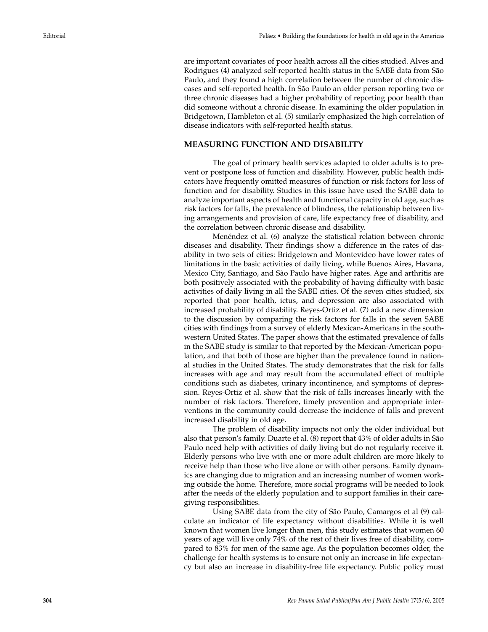are important covariates of poor health across all the cities studied. Alves and Rodrigues (4) analyzed self-reported health status in the SABE data from São Paulo, and they found a high correlation between the number of chronic diseases and self-reported health. In São Paulo an older person reporting two or three chronic diseases had a higher probability of reporting poor health than did someone without a chronic disease. In examining the older population in Bridgetown, Hambleton et al. (5) similarly emphasized the high correlation of disease indicators with self-reported health status.

## **MEASURING FUNCTION AND DISABILITY**

The goal of primary health services adapted to older adults is to prevent or postpone loss of function and disability. However, public health indicators have frequently omitted measures of function or risk factors for loss of function and for disability. Studies in this issue have used the SABE data to analyze important aspects of health and functional capacity in old age, such as risk factors for falls, the prevalence of blindness, the relationship between living arrangements and provision of care, life expectancy free of disability, and the correlation between chronic disease and disability.

Menéndez et al. (6) analyze the statistical relation between chronic diseases and disability. Their findings show a difference in the rates of disability in two sets of cities: Bridgetown and Montevideo have lower rates of limitations in the basic activities of daily living, while Buenos Aires, Havana, Mexico City, Santiago, and São Paulo have higher rates. Age and arthritis are both positively associated with the probability of having difficulty with basic activities of daily living in all the SABE cities. Of the seven cities studied, six reported that poor health, ictus, and depression are also associated with increased probability of disability. Reyes-Ortiz et al. (7) add a new dimension to the discussion by comparing the risk factors for falls in the seven SABE cities with findings from a survey of elderly Mexican-Americans in the southwestern United States. The paper shows that the estimated prevalence of falls in the SABE study is similar to that reported by the Mexican-American population, and that both of those are higher than the prevalence found in national studies in the United States. The study demonstrates that the risk for falls increases with age and may result from the accumulated effect of multiple conditions such as diabetes, urinary incontinence, and symptoms of depression. Reyes-Ortiz et al. show that the risk of falls increases linearly with the number of risk factors. Therefore, timely prevention and appropriate interventions in the community could decrease the incidence of falls and prevent increased disability in old age.

The problem of disability impacts not only the older individual but also that person's family. Duarte et al. (8) report that 43% of older adults in São Paulo need help with activities of daily living but do not regularly receive it. Elderly persons who live with one or more adult children are more likely to receive help than those who live alone or with other persons. Family dynamics are changing due to migration and an increasing number of women working outside the home. Therefore, more social programs will be needed to look after the needs of the elderly population and to support families in their caregiving responsibilities.

Using SABE data from the city of São Paulo, Camargos et al (9) calculate an indicator of life expectancy without disabilities. While it is well known that women live longer than men, this study estimates that women 60 years of age will live only 74% of the rest of their lives free of disability, compared to 83% for men of the same age. As the population becomes older, the challenge for health systems is to ensure not only an increase in life expectancy but also an increase in disability-free life expectancy. Public policy must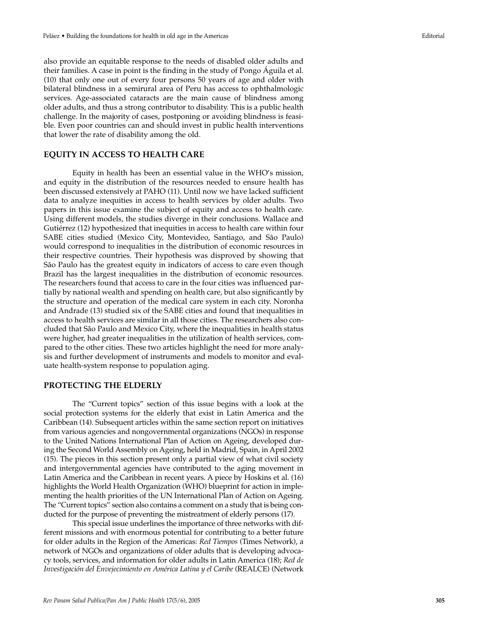also provide an equitable response to the needs of disabled older adults and their families. A case in point is the finding in the study of Pongo Águila et al. (10) that only one out of every four persons 50 years of age and older with bilateral blindness in a semirural area of Peru has access to ophthalmologic services. Age-associated cataracts are the main cause of blindness among older adults, and thus a strong contributor to disability. This is a public health challenge. In the majority of cases, postponing or avoiding blindness is feasible. Even poor countries can and should invest in public health interventions that lower the rate of disability among the old.

# **EQUITY IN ACCESS TO HEALTH CARE**

Equity in health has been an essential value in the WHO's mission, and equity in the distribution of the resources needed to ensure health has been discussed extensively at PAHO (11). Until now we have lacked sufficient data to analyze inequities in access to health services by older adults. Two papers in this issue examine the subject of equity and access to health care. Using different models, the studies diverge in their conclusions. Wallace and Gutiérrez (12) hypothesized that inequities in access to health care within four SABE cities studied (Mexico City, Montevideo, Santiago, and São Paulo) would correspond to inequalities in the distribution of economic resources in their respective countries. Their hypothesis was disproved by showing that São Paulo has the greatest equity in indicators of access to care even though Brazil has the largest inequalities in the distribution of economic resources. The researchers found that access to care in the four cities was influenced partially by national wealth and spending on health care, but also significantly by the structure and operation of the medical care system in each city. Noronha and Andrade (13) studied six of the SABE cities and found that inequalities in access to health services are similar in all those cities. The researchers also concluded that São Paulo and Mexico City, where the inequalities in health status were higher, had greater inequalities in the utilization of health services, compared to the other cities. These two articles highlight the need for more analysis and further development of instruments and models to monitor and evaluate health-system response to population aging.

### **PROTECTING THE ELDERLY**

The "Current topics" section of this issue begins with a look at the social protection systems for the elderly that exist in Latin America and the Caribbean (14). Subsequent articles within the same section report on initiatives from various agencies and nongovernmental organizations (NGOs) in response to the United Nations International Plan of Action on Ageing, developed during the Second World Assembly on Ageing, held in Madrid, Spain, in April 2002 (15). The pieces in this section present only a partial view of what civil society and intergovernmental agencies have contributed to the aging movement in Latin America and the Caribbean in recent years. A piece by Hoskins et al. (16) highlights the World Health Organization (WHO) blueprint for action in implementing the health priorities of the UN International Plan of Action on Ageing. The "Current topics" section also contains a comment on a study that is being conducted for the purpose of preventing the mistreatment of elderly persons (17).

This special issue underlines the importance of three networks with different missions and with enormous potential for contributing to a better future for older adults in the Region of the Americas: *Red Tiempos* (Times Network), a network of NGOs and organizations of older adults that is developing advocacy tools, services, and information for older adults in Latin America (18); *Red de Investigación del Envejecimiento en América Latina y el Caribe* (REALCE) (Network